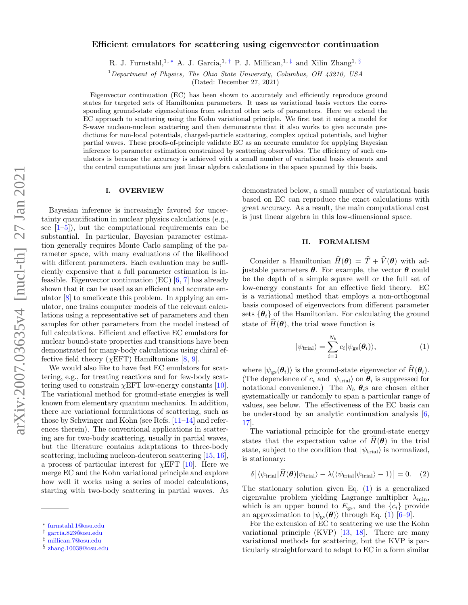## Efficient emulators for scattering using eigenvector continuation

R. J. Furnstahl,<sup>1, \*</sup> A. J. Garcia,<sup>1,[†](#page-0-1)</sup> P. J. Millican,<sup>1,[‡](#page-0-2)</sup> and Xilin Zhang<sup>1, [§](#page-0-3)</sup>

 $1$ Department of Physics, The Ohio State University, Columbus, OH 43210, USA

(Dated: December 27, 2021)

Eigenvector continuation (EC) has been shown to accurately and efficiently reproduce ground states for targeted sets of Hamiltonian parameters. It uses as variational basis vectors the corresponding ground-state eigensolutions from selected other sets of parameters. Here we extend the EC approach to scattering using the Kohn variational principle. We first test it using a model for S-wave nucleon-nucleon scattering and then demonstrate that it also works to give accurate predictions for non-local potentials, charged-particle scattering, complex optical potentials, and higher partial waves. These proofs-of-principle validate EC as an accurate emulator for applying Bayesian inference to parameter estimation constrained by scattering observables. The efficiency of such emulators is because the accuracy is achieved with a small number of variational basis elements and the central computations are just linear algebra calculations in the space spanned by this basis.

#### I. OVERVIEW

Bayesian inference is increasingly favored for uncertainty quantification in nuclear physics calculations (e.g., see  $[1–5]$  $[1–5]$ , but the computational requirements can be substantial. In particular, Bayesian parameter estimation generally requires Monte Carlo sampling of the parameter space, with many evaluations of the likelihood with different parameters. Each evaluation may be sufficiently expensive that a full parameter estimation is infeasible. Eigenvector continuation  $(EC)$   $[6, 7]$  $[6, 7]$  $[6, 7]$  has already shown that it can be used as an efficient and accurate emulator [\[8\]](#page-6-1) to ameliorate this problem. In applying an emulator, one trains computer models of the relevant calculations using a representative set of parameters and then samples for other parameters from the model instead of full calculations. Efficient and effective EC emulators for nuclear bound-state properties and transitions have been demonstrated for many-body calculations using chiral effective field theory ( $\chi$ EFT) Hamiltonians [\[8,](#page-6-1) [9\]](#page-6-2).

We would also like to have fast EC emulators for scattering, e.g., for treating reactions and for few-body scattering used to constrain  $\chi$ EFT low-energy constants [\[10\]](#page-6-3). The variational method for ground-state energies is well known from elementary quantum mechanics. In addition, there are variational formulations of scattering, such as those by Schwinger and Kohn (see Refs.  $[11-14]$  $[11-14]$  and references therein). The conventional applications in scattering are for two-body scattering, usually in partial waves, but the literature contains adaptations to three-body scattering, including nucleon-deuteron scattering [\[15,](#page-6-6) [16\]](#page-6-7), a process of particular interest for  $\chi$ EFT [\[10\]](#page-6-3). Here we merge EC and the Kohn variational principle and explore how well it works using a series of model calculations, starting with two-body scattering in partial waves. As demonstrated below, a small number of variational basis based on EC can reproduce the exact calculations with great accuracy. As a result, the main computational cost is just linear algebra in this low-dimensional space.

## II. FORMALISM

Consider a Hamiltonian  $\widehat{H}(\boldsymbol{\theta}) = \widehat{T} + \widehat{V}(\boldsymbol{\theta})$  with adjustable parameters  $\theta$ . For example, the vector  $\theta$  could be the depth of a simple square well or the full set of low-energy constants for an effective field theory. EC is a variational method that employs a non-orthogonal basis composed of eigenvectors from different parameter sets  $\{\boldsymbol{\theta}_i\}$  of the Hamiltonian. For calculating the ground state of  $\hat{H}(\theta)$ , the trial wave function is

<span id="page-0-4"></span>
$$
|\psi_{\text{trial}}\rangle = \sum_{i=1}^{N_b} c_i |\psi_{\text{gs}}(\theta_i)\rangle, \tag{1}
$$

where  $|\psi_{gs}(\theta_i)\rangle$  is the ground-state eigenvector of  $\widehat{H}(\theta_i)$ . (The dependence of  $c_i$  and  $|\psi_{\text{trial}}\rangle$  on  $\theta_i$  is suppressed for notational convenience.) The  $N_b$   $\theta_i$ s are chosen either systematically or randomly to span a particular range of values, see below. The effectiveness of the EC basis can be understood by an analytic continuation analysis  $[6, 6]$  $[6, 6]$ [17\]](#page-6-8).

The variational principle for the ground-state energy states that the expectation value of  $\widehat{H}(\boldsymbol{\theta})$  in the trial state, subject to the condition that  $|\psi_{\text{trial}}\rangle$  is normalized, is stationary:

<span id="page-0-5"></span>
$$
\delta\big[\langle\psi_{\text{trial}}|\hat{H}(\theta)|\psi_{\text{trial}}\rangle - \lambda(\langle\psi_{\text{trial}}|\psi_{\text{trial}}\rangle - 1)\big] = 0. \quad (2)
$$

The stationary solution given Eq.  $(1)$  is a generalized eigenvalue problem yielding Lagrange multiplier  $\lambda_{\min}$ , which is an upper bound to  $E_{gs}$ , and the  $\{c_i\}$  provide an approximation to  $|\psi_{\rm gs}(\theta)\rangle$  through Eq. [\(1\)](#page-0-4) [\[6–](#page-5-2)[9\]](#page-6-2).

For the extension of EC to scattering we use the Kohn variational principle (KVP) [\[13,](#page-6-9) [18\]](#page-6-10). There are many variational methods for scattering, but the KVP is particularly straightforward to adapt to EC in a form similar

<span id="page-0-0"></span><sup>∗</sup> [furnstahl.1@osu.edu](mailto:furnstahl.1@osu.edu)

<span id="page-0-1"></span><sup>†</sup> [garcia.823@osu.edu](mailto:garcia.823@osu.edu)

<span id="page-0-2"></span><sup>‡</sup> [millican.7@osu.edu](mailto:millican.7@osu.edu)

<span id="page-0-3"></span><sup>§</sup> [zhang.10038@osu.edu](mailto:zhang.10038@osu.edu)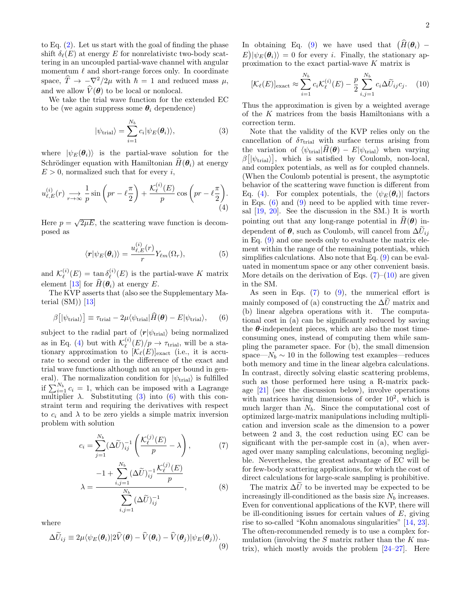to Eq. [\(2\)](#page-0-5). Let us start with the goal of finding the phase shift  $\delta_{\ell}(E)$  at energy E for nonrelativistc two-body scattering in an uncoupled partial-wave channel with angular momentum  $\ell$  and short-range forces only. In coordinate space,  $\hat{T} \rightarrow -\nabla^2/2\mu$  with  $\hbar = 1$  and reduced mass  $\mu$ , and we allow  $V(\theta)$  to be local or nonlocal.

We take the trial wave function for the extended EC to be (we again suppress some  $\theta_i$  dependence)

$$
|\psi_{\text{trial}}\rangle = \sum_{i=1}^{N_b} c_i |\psi_E(\theta_i)\rangle,
$$
 (3)

where  $|\psi_E(\theta_i)\rangle$  is the partial-wave solution for the Schrödinger equation with Hamiltonian  $\hat{H}(\theta_i)$  at energy  $E > 0$ , normalized such that for every i,

$$
u_{\ell,E}^{(i)}(r) \xrightarrow[r \to \infty]{} \frac{1}{p} \sin\left(pr - \ell\frac{\pi}{2}\right) + \frac{\mathcal{K}_{\ell}^{(i)}(E)}{p} \cos\left(pr - \ell\frac{\pi}{2}\right).
$$
\n(4)

Here  $p = \sqrt{2\mu E}$ , the scattering wave function is decomposed as

$$
\langle \boldsymbol{r} | \psi_E(\boldsymbol{\theta}_i) \rangle = \frac{u_{\ell,E}^{(i)}(r)}{r} Y_{\ell m}(\Omega_r), \tag{5}
$$

and  $\mathcal{K}_{\ell}^{(i)}$  $\chi_\ell^{(i)}(E) = \tan \delta_\ell^{(i)}$  $\chi_{\ell}^{(i)}(E)$  is the partial-wave K matrix element [\[13\]](#page-6-9) for  $H(\theta_i)$  at energy E.

The KVP asserts that (also see the Supplementary Material  $(SM)$  [\[13\]](#page-6-9)

$$
\beta\big[\left|\psi_{\text{trial}}\right\rangle\big] \equiv \tau_{\text{trial}} - 2\mu\langle\psi_{\text{trial}}|\hat{H}(\boldsymbol{\theta}) - E|\psi_{\text{trial}}\rangle,\qquad(6)
$$

subject to the radial part of  $\langle r|\psi_{\text{trial}}\rangle$  being normalized as in Eq. [\(4\)](#page-1-0) but with  $\mathcal{K}^{(i)}_{\ell}$  $\chi_{\ell}^{(i)}(E)/p \rightarrow \tau_{\text{trial}}$ , will be a stationary approximation to  $[\mathcal{K}_{\ell}(E)]_{\text{exact}}$  (i.e., it is accurate to second order in the difference of the exact and trial wave functions although not an upper bound in general). The normalization condition for  $|\psi_{\text{trial}}\rangle$  is fulfilled if  $\sum_{i=1}^{N_b} c_i = 1$ , which can be imposed with a Lagrange multiplier  $\lambda$ . Substituting [\(3\)](#page-1-1) into [\(6\)](#page-1-2) with this constraint term and requiring the derivatives with respect to  $c_i$  and  $\lambda$  to be zero yields a simple matrix inversion problem with solution

$$
c_i = \sum_{j=1}^{N_b} (\Delta \widetilde{U})_{ij}^{-1} \left( \frac{\mathcal{K}_{\ell}^{(j)}(E)}{p} - \lambda \right), \tag{7}
$$

$$
\lambda = \frac{-1 + \sum_{i,j=1}^{N_b} (\Delta \tilde{U})_{ij}^{-1} \frac{\mathcal{K}^{(j)}_{\ell}(E)}{p}}{\sum_{i,j=1}^{N_b} (\Delta \tilde{U})_{ij}^{-1}},
$$
(8)

where

$$
\Delta \widetilde{U}_{ij} \equiv 2\mu \langle \psi_E(\boldsymbol{\theta}_i) | 2\widehat{V}(\boldsymbol{\theta}) - \widehat{V}(\boldsymbol{\theta}_i) - \widehat{V}(\boldsymbol{\theta}_j) | \psi_E(\boldsymbol{\theta}_j) \rangle. \tag{9}
$$

In obtaining Eq. [\(9\)](#page-1-3) we have used that  $(H(\theta_i) E|\psi_E(\theta_i)\rangle = 0$  for every *i*. Finally, the stationary approximation to the exact partial-wave K matrix is

<span id="page-1-5"></span>
$$
[\mathcal{K}_{\ell}(E)]_{\text{exact}} \approx \sum_{i=1}^{N_b} c_i \mathcal{K}_{\ell}^{(i)}(E) - \frac{p}{2} \sum_{i,j=1}^{N_b} c_i \Delta \widetilde{U}_{ij} c_j. \tag{10}
$$

Thus the approximation is given by a weighted average of the K matrices from the basis Hamiltonians with a correction term.

<span id="page-1-1"></span><span id="page-1-0"></span>Note that the validity of the KVP relies only on the cancellation of  $\delta\tau_{\text{trial}}$  with surface terms arising from the variation of  $\langle \psi_{\text{trial}}|H(\theta) - E|\psi_{\text{trial}}\rangle$  when varying  $\beta[\ket{\psi_{\text{trial}}}, \text{ which is satisfied by Coulomb, non-local},$ and complex potentials, as well as for coupled channels. (When the Coulomb potential is present, the asymptotic behavior of the scattering wave function is different from Eq. [\(4\)](#page-1-0). For complex potentials, the  $\langle \psi_E(\theta_i)|$  factors in Eqs.  $(6)$  and  $(9)$  need to be applied with time reversal [\[19,](#page-6-11) [20\]](#page-6-12). See the discussion in the SM.) It is worth pointing out that any long-range potential in  $\hat{H}(\theta)$  independent of  $\theta$ , such as Coulomb, will cancel from  $\Delta \tilde{U}_{ij}$ in Eq. [\(9\)](#page-1-3) and one needs only to evaluate the matrix element within the range of the remaining potentials, which simplifies calculations. Also note that Eq.  $(9)$  can be evaluated in momentum space or any other convenient basis. More details on the derivation of Eqs.  $(7)-(10)$  $(7)-(10)$  $(7)-(10)$  are given in the SM.

<span id="page-1-2"></span>As seen in Eqs.  $(7)$  to  $(9)$ , the numerical effort is mainly composed of (a) constructing the  $\Delta U$  matrix and (b) linear algebra operations with it. The computational cost in (a) can be significantly reduced by saving the  $\theta$ -independent pieces, which are also the most timeconsuming ones, instead of computing them while sampling the parameter space. For (b), the small dimension space— $N_b \sim 10$  in the following test examples—reduces both memory and time in the linear algebra calculations. In contrast, directly solving elastic scattering problems, such as those performed here using a R-matrix package [\[21\]](#page-6-13) (see the discussion below), involve operations with matrices having dimensions of order  $10^2$ , which is much larger than  $N_b$ . Since the computational cost of optimized large-matrix manipulations including multiplication and inversion scale as the dimension to a power between 2 and 3, the cost reduction using EC can be significant with the per-sample cost in (a), when averaged over many sampling calculations, becoming negligible. Nevertheless, the greatest advantage of EC will be for few-body scattering applications, for which the cost of direct calculations for large-scale sampling is prohibitive.

<span id="page-1-6"></span><span id="page-1-4"></span><span id="page-1-3"></span>The matrix  $\Delta \tilde{U}$  to be inverted may be expected to be increasingly ill-conditioned as the basis size  $N_b$  increases. Even for conventional applications of the KVP, there will be ill-conditioning issues for certain values of  $E$ , giving rise to so-called "Kohn anomalous singularities" [\[14,](#page-6-5) [23\]](#page-6-14). The often-recommended remedy is to use a complex formulation (involving the  $S$  matrix rather than the  $K$  matrix), which mostly avoids the problem [\[24](#page-6-15)[–27\]](#page-6-16). Here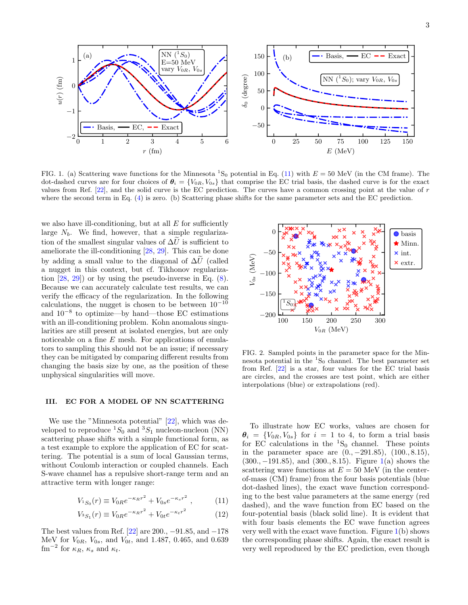

<span id="page-2-1"></span>FIG. 1. (a) Scattering wave functions for the Minnesota  ${}^{1}S_{0}$  potential in Eq. [\(11\)](#page-2-0) with  $E = 50$  MeV (in the CM frame). The dot-dashed curves are for four choices of  $\theta_i = \{V_{0R}, V_{0s}\}\$  that comprise the EC trial basis, the dashed curve is for the exact values from Ref. [\[22\]](#page-6-17), and the solid curve is the EC prediction. The curves have a common crossing point at the value of r where the second term in Eq. [\(4\)](#page-1-0) is zero. (b) Scattering phase shifts for the same parameter sets and the EC prediction.

we also have ill-conditioning, but at all  $E$  for sufficiently large  $N_b$ . We find, however, that a simple regularization of the smallest singular values of  $\Delta U$  is sufficient to ameliorate the ill-conditioning [\[28,](#page-6-18) [29\]](#page-6-19). This can be done by adding a small value to the diagonal of  $\Delta U$  (called a nugget in this context, but cf. Tikhonov regularization  $[28, 29]$  $[28, 29]$  $[28, 29]$  or by using the pseudo-inverse in Eq.  $(8)$ . Because we can accurately calculate test results, we can verify the efficacy of the regularization. In the following calculations, the nugget is chosen to be between  $10^{-10}$ and 10<sup>−</sup><sup>8</sup> to optimize—by hand—those EC estimations with an ill-conditioning problem. Kohn anomalous singularities are still present at isolated energies, but are only noticeable on a fine  $E$  mesh. For applications of emulators to sampling this should not be an issue; if necessary they can be mitigated by comparing different results from changing the basis size by one, as the position of these unphysical singularities will move.

### III. EC FOR A MODEL OF NN SCATTERING

We use the "Minnesota potential" [\[22\]](#page-6-17), which was developed to reproduce  ${}^{1}S_0$  and  ${}^{3}S_1$  nucleon-nucleon (NN) scattering phase shifts with a simple functional form, as a test example to explore the application of EC for scattering. The potential is a sum of local Gaussian terms, without Coulomb interaction or coupled channels. Each S-wave channel has a repulsive short-range term and an attractive term with longer range:

$$
V_{^{1}S_{0}}(r) \equiv V_{0R}e^{-\kappa_{R}r^{2}} + V_{0s}e^{-\kappa_{s}r^{2}} , \qquad (11)
$$

$$
V_{^{3}S_{1}}(r) \equiv V_{0R}e^{-\kappa_{R}r^{2}} + V_{0t}e^{-\kappa_{t}r^{2}} \tag{12}
$$

The best values from Ref. [\[22\]](#page-6-17) are 200.,  $-91.85$ , and  $-178$ MeV for  $V_{0R}$ ,  $V_{0s}$ , and  $V_{0t}$ , and 1.487, 0.465, and 0.639  $\text{fm}^{-2}$  for  $\kappa_R$ ,  $\kappa_s$  and  $\kappa_t$ .



<span id="page-2-2"></span>FIG. 2. Sampled points in the parameter space for the Minnesota potential in the  ${}^{1}S_{0}$  channel. The best parameter set from Ref. [\[22\]](#page-6-17) is a star, four values for the EC trial basis are circles, and the crosses are test point, which are either interpolations (blue) or extrapolations (red).

<span id="page-2-0"></span>To illustrate how EC works, values are chosen for  $\theta_i = \{V_{0R}, V_{0s}\}\$ for  $i = 1$  to 4, to form a trial basis for EC calculations in the  ${}^{1}S_{0}$  channel. These points in the parameter space are  $(0., -291.85), (100., 8.15),$ (300., −191.85), and (300., 8.15). Figure [1\(](#page-2-1)a) shows the scattering wave functions at  $E = 50$  MeV (in the centerof-mass (CM) frame) from the four basis potentials (blue dot-dashed lines), the exact wave function corresponding to the best value parameters at the same energy (red dashed), and the wave function from EC based on the four-potential basis (black solid line). It is evident that with four basis elements the EC wave function agrees very well with the exact wave function. Figure  $1(b)$  $1(b)$  shows the corresponding phase shifts. Again, the exact result is very well reproduced by the EC prediction, even though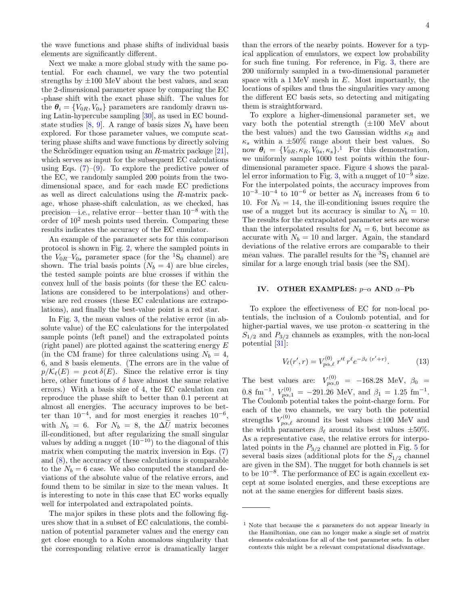the wave functions and phase shifts of individual basis elements are significantly different.

Next we make a more global study with the same potential. For each channel, we vary the two potential strengths by  $\pm 100$  MeV about the best values, and scan the 2-dimensional parameter space by comparing the EC -phase shift with the exact phase shift. The values for the  $\theta_i = \{V_{0R}, V_{0s}\}\$  parameters are randomly drawn using Latin-hypercube sampling [\[30\]](#page-6-20), as used in EC bound-state studies [\[8,](#page-6-1) [9\]](#page-6-2). A range of basis sizes  $N_b$  have been explored. For those parameter values, we compute scattering phase shifts and wave functions by directly solving the Schrödinger equation using an R-matrix package  $[21]$ , which serves as input for the subsequent EC calculations using Eqs.  $(7)-(9)$  $(7)-(9)$  $(7)-(9)$ . To explore the predictive power of the EC, we randomly sampled 200 points from the twodimensional space, and for each made EC predictions as well as direct calculations using the R-matrix package, whose phase-shift calculation, as we checked, has precision—i.e., relative error—better than 10<sup>−</sup><sup>8</sup> with the order of  $10<sup>2</sup>$  mesh points used therein. Comparing these results indicates the accuracy of the EC emulator.

An example of the parameter sets for this comparison protocol is shown in Fig. [2,](#page-2-2) where the sampled points in the  $V_{0R}-V_{0s}$  parameter space (for the <sup>1</sup>S<sub>0</sub> channel) are shown. The trial basis points  $(N_b = 4)$  are blue circles, the tested sample points are blue crosses if within the convex hull of the basis points (for these the EC calculations are considered to be interpolations) and otherwise are red crosses (these EC calculations are extrapolations), and finally the best-value point is a red star.

In Fig. [3,](#page-4-0) the mean values of the relative error (in absolute value) of the EC calculations for the interpolated sample points (left panel) and the extrapolated points (right panel) are plotted against the scattering energy E (in the CM frame) for three calculations using  $N_b = 4$ , 6, and 8 basis elements. (The errors are in the value of  $p/\mathcal{K}_{\ell}(E) = p \cot \delta(E)$ . Since the relative error is tiny here, other functions of  $\delta$  have almost the same relative errors.) With a basis size of 4, the EC calculation can reproduce the phase shift to better than 0.1 percent at almost all energies. The accuracy improves to be better than  $10^{-4}$ , and for most energies it reaches  $10^{-6}$ , with  $N_b = 6$ . For  $N_b = 8$ , the  $\Delta\tilde{U}$  matrix becomes ill-conditioned, but after regularizing the small singular values by adding a nugget  $(10^{-10})$  to the diagonal of this matrix when computing the matrix inversion in Eqs. [\(7\)](#page-1-4) and [\(8\)](#page-1-6), the accuracy of these calculations is comparable to the  $N_b = 6$  case. We also computed the standard deviations of the absolute value of the relative errors, and found them to be similar in size to the mean values. It is interesting to note in this case that EC works equally well for interpolated and extrapolated points.

The major spikes in these plots and the following figures show that in a subset of EC calculations, the combination of potential parameter values and the energy can get close enough to a Kohn anomalous singularity that the corresponding relative error is dramatically larger

than the errors of the nearby points. However for a typical application of emulators, we expect low probability for such fine tuning. For reference, in Fig. [3,](#page-4-0) there are 200 uniformly sampled in a two-dimensional parameter space with a  $1 \text{ MeV}$  mesh in  $E$ . Most importantly, the locations of spikes and thus the singularities vary among the different EC basis sets, so detecting and mitigating them is straightforward.

To explore a higher-dimensional parameter set, we vary both the potential strength (±100 MeV about the best values) and the two Gaussian widths  $\kappa_R$  and  $\kappa_s$  within a  $\pm 50\%$  range about their best values. So now  $\boldsymbol{\theta}_i = \{V_{0R}, \kappa_R, V_{0s}, \kappa_s\}$ <sup>[1](#page-3-0)</sup> For this demonstration, we uniformly sample 1000 test points within the fourdimensional parameter space. Figure [4](#page-4-1) shows the paral-lel error information to Fig. [3,](#page-4-0) with a nugget of  $10^{-9}$  size. For the interpolated points, the accuracy improves from  $10^{-3}$ – $10^{-4}$  to  $10^{-6}$  or better as  $N_b$  increases from 6 to 10. For  $N_b = 14$ , the ill-conditioning issues require the use of a nugget but its accuracy is similar to  $N_b = 10$ . The results for the extrapolated parameter sets are worse than the interpolated results for  $N_b = 6$ , but become as accurate with  $N_b = 10$  and larger. Again, the standard deviations of the relative errors are comparable to their mean values. The parallel results for the  ${}^{3}S_{1}$  channel are similar for a large enough trial basis (see the SM).

#### IV. OTHER EXAMPLES:  $p-\alpha$  AND  $\alpha$ -Pb

To explore the effectiveness of EC for non-local potentials, the inclusion of a Coulomb potential, and for higher-partial waves, we use proton– $\alpha$  scattering in the  $S_{1/2}$  and  $P_{3/2}$  channels as examples, with the non-local potential [\[31\]](#page-6-21):

$$
V_{\ell}(r',r) = V_{p\alpha,\ell}^{(0)} r'^{\ell} r^{\ell} e^{-\beta_{\ell} (r'+r)}.
$$
 (13)

The best values are:  $V_{p\alpha,0}^{(0)} = -168.28 \text{ MeV}, \beta_0 =$  $0.8 \text{ fm}^{-1}, V_{p\alpha,1}^{(0)} = -291.26 \text{ MeV}, \text{ and } \beta_1 = 1.25 \text{ fm}^{-1}.$ The Coulomb potential takes the point-charge form. For each of the two channels, we vary both the potential strengths  $V_{p\alpha,\ell}^{(0)}$  around its best values  $\pm 100$  MeV and the width parameters  $\beta_{\ell}$  around its best values  $\pm 50\%$ . As a representative case, the relative errors for interpolated points in the  $P_{3/2}$  channel are plotted in Fig. [5](#page-5-3) for several basis sizes (additional plots for the  $S_{1/2}$  channel are given in the SM). The nugget for both channels is set to be 10<sup>−</sup><sup>8</sup> . The performance of EC is again excellent except at some isolated energies, and these exceptions are not at the same energies for different basis sizes.

<span id="page-3-0"></span><sup>&</sup>lt;sup>1</sup> Note that because the  $\kappa$  parameters do not appear linearly in the Hamiltonian, one can no longer make a single set of matrix elements calculations for all of the test parameter sets. In other contexts this might be a relevant computational disadvantage.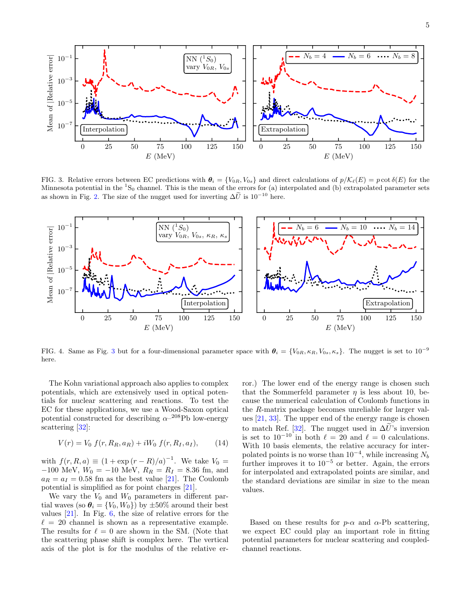

<span id="page-4-0"></span>FIG. 3. Relative errors between EC predictions with  $\theta_i = \{V_{0R}, V_{0s}\}\$ and direct calculations of  $p/\mathcal{K}_{\ell}(E) = p \cot \delta(E)$  for the Minnesota potential in the  ${}^{1}S_{0}$  channel. This is the mean of the errors for (a) interpolated and (b) extrapolated parameter sets as shown in Fig. [2.](#page-2-2) The size of the nugget used for inverting  $\Delta \tilde{U}$  is 10<sup>−10</sup> here.



<span id="page-4-1"></span>FIG. 4. Same as Fig. [3](#page-4-0) but for a four-dimensional parameter space with  $\theta_i = \{V_{0R}, \kappa_R, V_{0s}, \kappa_s\}$ . The nugget is set to  $10^{-9}$ here.

The Kohn variational approach also applies to complex potentials, which are extensively used in optical potentials for nuclear scattering and reactions. To test the EC for these applications, we use a Wood-Saxon optical potential constructed for describing  $\alpha^{-208}$ Pb low-energy scattering [\[32\]](#page-6-22):

$$
V(r) = V_0 \ f(r, R_R, a_R) + iW_0 \ f(r, R_I, a_I), \tag{14}
$$

with  $f(r, R, a) \equiv (1 + \exp(r - R)/a)^{-1}$ . We take  $V_0 =$ −100 MeV,  $W_0 = -10$  MeV,  $R_R = R_I = 8.36$  fm, and  $a_R = a_I = 0.58$  fm as the best value [\[21\]](#page-6-13). The Coulomb potential is simplified as for point charges [\[21\]](#page-6-13).

We vary the  $V_0$  and  $W_0$  parameters in different partial waves (so  $\theta_i = \{V_0, W_0\}$ ) by  $\pm 50\%$  around their best values [\[21\]](#page-6-13). In Fig. [6,](#page-5-4) the size of relative errors for the  $\ell = 20$  channel is shown as a representative example. The results for  $\ell = 0$  are shown in the SM. (Note that the scattering phase shift is complex here. The vertical axis of the plot is for the modulus of the relative error.) The lower end of the energy range is chosen such that the Sommerfeld parameter  $\eta$  is less about 10, because the numerical calculation of Coulomb functions in the R-matrix package becomes unreliable for larger values [\[21,](#page-6-13) [33\]](#page-6-23). The upper end of the energy range is chosen to match Ref. [\[32\]](#page-6-22). The nugget used in  $\Delta \tilde{U}$ 's inversion is set to  $10^{-10}$  in both  $\ell = 20$  and  $\ell = 0$  calculations. With 10 basis elements, the relative accuracy for interpolated points is no worse than  $10^{-4}$ , while increasing  $N_b$ further improves it to  $10^{-5}$  or better. Again, the errors for interpolated and extrapolated points are similar, and the standard deviations are similar in size to the mean values.

Based on these results for  $p-\alpha$  and  $\alpha$ -Pb scattering, we expect EC could play an important role in fitting potential parameters for nuclear scattering and coupledchannel reactions.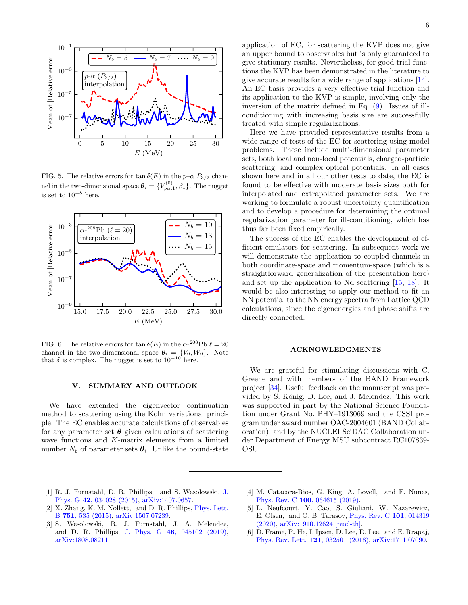

<span id="page-5-3"></span>FIG. 5. The relative errors for tan  $\delta(E)$  in the  $p-\alpha P_{3/2}$  channel in the two-dimensional space  $\theta_i = \{V_{p\alpha,1}^{(0)}, \beta_1\}$ . The nugget is set to  $10^{-8}$  here.



<span id="page-5-4"></span>FIG. 6. The relative errors for  $\tan \delta(E)$  in the  $\alpha$ -<sup>208</sup>Pb  $\ell = 20$ channel in the two-dimensional space  $\theta_i = \{V_0, W_0\}$ . Note that  $\delta$  is complex. The nugget is set to  $10^{-10}$  here.

# V. SUMMARY AND OUTLOOK

We have extended the eigenvector continuation method to scattering using the Kohn variational principle. The EC enables accurate calculations of observables for any parameter set  $\theta$  given calculations of scattering wave functions and K-matrix elements from a limited number  $N_b$  of parameter sets  $\boldsymbol{\theta}_i$ . Unlike the bound-state

application of EC, for scattering the KVP does not give an upper bound to observables but is only guaranteed to give stationary results. Nevertheless, for good trial functions the KVP has been demonstrated in the literature to give accurate results for a wide range of applications [\[14\]](#page-6-5). An EC basis provides a very effective trial function and its application to the KVP is simple, involving only the inversion of the matrix defined in Eq. [\(9\)](#page-1-3). Issues of illconditioning with increasing basis size are successfully treated with simple regularizations.

Here we have provided representative results from a wide range of tests of the EC for scattering using model problems. These include multi-dimensional parameter sets, both local and non-local potentials, charged-particle scattering, and complex optical potentials. In all cases shown here and in all our other tests to date, the EC is found to be effective with moderate basis sizes both for interpolated and extrapolated parameter sets. We are working to formulate a robust uncertainty quantification and to develop a procedure for determining the optimal regularization parameter for ill-conditioning, which has thus far been fixed empirically.

The success of the EC enables the development of efficient emulators for scattering. In subsequent work we will demonstrate the application to coupled channels in both coordinate-space and momentum-space (which is a straightforward generalization of the presentation here) and set up the application to Nd scattering [\[15,](#page-6-6) [18\]](#page-6-10). It would be also interesting to apply our method to fit an NN potential to the NN energy spectra from Lattice QCD calculations, since the eigenenergies and phase shifts are directly connected.

#### ACKNOWLEDGMENTS

We are grateful for stimulating discussions with C. Greene and with members of the BAND Framework project [\[34\]](#page-6-24). Useful feedback on the manuscript was provided by S. König, D. Lee, and J. Melendez. This work was supported in part by the National Science Foundation under Grant No. PHY–1913069 and the CSSI program under award number OAC-2004601 (BAND Collaboration), and by the NUCLEI SciDAC Collaboration under Department of Energy MSU subcontract RC107839- OSU.

- <span id="page-5-0"></span>[1] R. J. Furnstahl, D. R. Phillips, and S. Wesolowski, [J.](http://dx.doi.org/10.1088/0954-3899/42/3/034028) Phys. G 42[, 034028 \(2015\),](http://dx.doi.org/10.1088/0954-3899/42/3/034028) [arXiv:1407.0657.](http://arxiv.org/abs/1407.0657)
- [2] X. Zhang, K. M. Nollett, and D. R. Phillips, [Phys. Lett.](http://dx.doi.org/10.1016/j.physletb.2015.11.005) B 751[, 535 \(2015\),](http://dx.doi.org/10.1016/j.physletb.2015.11.005) [arXiv:1507.07239.](http://arxiv.org/abs/1507.07239)
- [3] S. Wesolowski, R. J. Furnstahl, J. A. Melendez, and D. R. Phillips, J. Phys. G 46[, 045102 \(2019\),](http://dx.doi.org/10.1088/1361-6471/aaf5fc) [arXiv:1808.08211.](http://arxiv.org/abs/1808.08211)
- [4] M. Catacora-Rios, G. King, A. Lovell, and F. Nunes, Phys. Rev. C 100[, 064615 \(2019\).](http://dx.doi.org/ 10.1103/PhysRevC.100.064615)
- <span id="page-5-1"></span>[5] L. Neufcourt, Y. Cao, S. Giuliani, W. Nazarewicz, E. Olsen, and O. B. Tarasov, [Phys. Rev. C](http://dx.doi.org/ 10.1103/PhysRevC.101.014319) 101, 014319 [\(2020\),](http://dx.doi.org/ 10.1103/PhysRevC.101.014319) [arXiv:1910.12624 \[nucl-th\].](http://arxiv.org/abs/1910.12624)
- <span id="page-5-2"></span>[6] D. Frame, R. He, I. Ipsen, D. Lee, D. Lee, and E. Rrapaj, [Phys. Rev. Lett.](http://dx.doi.org/ 10.1103/PhysRevLett.121.032501) 121, 032501 (2018), [arXiv:1711.07090.](http://arxiv.org/abs/1711.07090)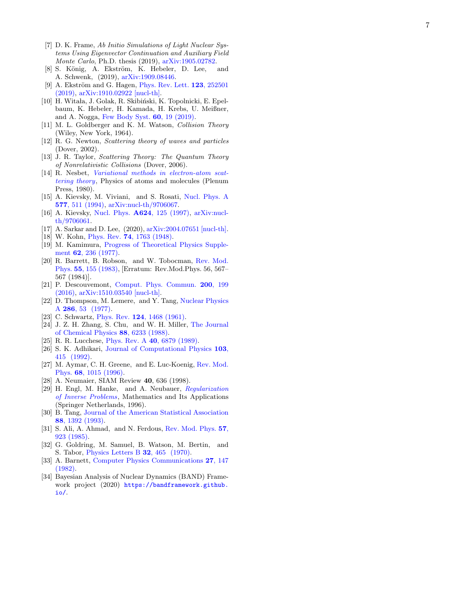- <span id="page-6-0"></span>[7] D. K. Frame, Ab Initio Simulations of Light Nuclear Systems Using Eigenvector Continuation and Auxiliary Field Monte Carlo, Ph.D. thesis (2019), [arXiv:1905.02782](http://arxiv.org/abs/1905.02782).
- <span id="page-6-1"></span>[8] S. König, A. Ekström, K. Hebeler, D. Lee, and A. Schwenk, (2019), [arXiv:1909.08446](http://arxiv.org/abs/1909.08446) .
- <span id="page-6-2"></span>[9] A. Ekström and G. Hagen, [Phys. Rev. Lett.](http://dx.doi.org/10.1103/PhysRevLett.123.252501)  $123$ ,  $252501$ [\(2019\)](http://dx.doi.org/10.1103/PhysRevLett.123.252501) , [arXiv:1910.02922 \[nucl-th\]](http://arxiv.org/abs/1910.02922) .
- <span id="page-6-3"></span>[10] H. Witała, J. Golak, R. Skibiński, K. Topolnicki, E. Epelbaum, K. Hebeler, H. Kamada, H. Krebs, U. Meißner, and A. Nogga, [Few Body Syst.](http://dx.doi.org/10.1007/s00601-019-1485-0) **60**, 19 (2019).
- <span id="page-6-4"></span>[11] M. L. Goldberger and K. M. Watson, *Collision Theory* (Wiley, New York, 1964).
- [12] R. G. Newton, Scattering theory of waves and particles (Dover, 2002).
- <span id="page-6-9"></span>[13] J. R. Taylor, Scattering Theory: The Quantum Theory of Nonrelativistic Collisions (Dover, 2006).
- <span id="page-6-5"></span>[14] R. Nesbet, [Variational methods in electron-atom scat](https://books.google.com/books?id=0mF5AAAAIAAJ)[tering theory](https://books.google.com/books?id=0mF5AAAAIAAJ), Physics of atoms and molecules (Plenum Press, 1980).
- <span id="page-6-6"></span>[15] A. Kievsky, M. Viviani, and S. Rosati, [Nucl. Phys. A](http://dx.doi.org/10.1016/0375-9474(94)90931-8) 577[, 511 \(1994\)](http://dx.doi.org/10.1016/0375-9474(94)90931-8) , [arXiv:nucl-th/9706067](http://arxiv.org/abs/nucl-th/9706067) .
- <span id="page-6-7"></span>[16] A. Kievsky, Nucl. Phys. **A624**[, 125 \(1997\)](http://dx.doi.org/10.1016/S0375-9474(97)81832-5), [arXiv:nucl](http://arxiv.org/abs/nucl-th/9706061)[th/9706061.](http://arxiv.org/abs/nucl-th/9706061)
- <span id="page-6-8"></span>[17] A. Sarkar and D. Lee, (2020), [arXiv:2004.07651 \[nucl-th\]](http://arxiv.org/abs/2004.07651) .
- <span id="page-6-10"></span>[18] W. Kohn, Phys. Rev. **74**[, 1763 \(1948\)](http://dx.doi.org/10.1103/PhysRev.84.495).
- <span id="page-6-11"></span>[19] M. Kamimura, [Progress of Theoretical Physics Supple](http://dx.doi.org/10.1143/PTPS.62.236)ment 62[, 236 \(1977\).](http://dx.doi.org/10.1143/PTPS.62.236)
- <span id="page-6-12"></span>[20] R. Barrett, B. Robson, and W. Tobocman, [Rev. Mod.](http://dx.doi.org/10.1103/RevModPhys.55.155) Phys. 55[, 155 \(1983\),](http://dx.doi.org/10.1103/RevModPhys.55.155) [Erratum: Rev.Mod.Phys. 56, 567– 567 (1984)].
- <span id="page-6-13"></span>[21] P. Descouvemont, [Comput. Phys. Commun.](http://dx.doi.org/10.1016/j.cpc.2015.10.015) 200, 199 [\(2016\)](http://dx.doi.org/10.1016/j.cpc.2015.10.015) , [arXiv:1510.03540 \[nucl-th\]](http://arxiv.org/abs/1510.03540) .
- <span id="page-6-17"></span>[22] D. Thompson, M. Lemere, and Y. Tang, [Nuclear Physics](http://dx.doi.org/https://doi.org/10.1016/0375-9474(77)90007-0) A 286[, 53 \(1977\).](http://dx.doi.org/https://doi.org/10.1016/0375-9474(77)90007-0)
- <span id="page-6-14"></span>[23] C. Schwartz, Phys. Rev. **124**[, 1468 \(1961\)](http://dx.doi.org/10.1103/PhysRev.124.1468).
- <span id="page-6-15"></span>[24] J. Z. H. Zhang, S. Chu, and W. H. Miller, [The Journal](http://dx.doi.org/10.1063/1.454462) [of Chemical Physics](http://dx.doi.org/10.1063/1.454462) 88, 6233 (1988) .
- [25] R. R. Lucchese, [Phys. Rev. A](http://dx.doi.org/10.1103/PhysRevA.40.6879) 40, 6879 (1989).
- [26] S. K. Adhikari, [Journal of Computational Physics](http://dx.doi.org/https://doi.org/10.1016/0021-9991(92)90412-R) 103, [415 \(1992\)](http://dx.doi.org/https://doi.org/10.1016/0021-9991(92)90412-R) .
- <span id="page-6-16"></span>[27] M. Aymar, C. H. Greene, and E. Luc-Koenig, [Rev. Mod.](http://dx.doi.org/10.1103/RevModPhys.68.1015) Phys. **68**[, 1015 \(1996\)](http://dx.doi.org/10.1103/RevModPhys.68.1015).
- <span id="page-6-18"></span>[28] A. Neumaier, SIAM Review 40, 636 (1998).
- <span id="page-6-19"></span>[29] H. Engl, M. Hanke, and A. Neubauer, [Regularization](https://books.google.com/books?id=2bzgmMv5EVcC) [of Inverse Problems](https://books.google.com/books?id=2bzgmMv5EVcC), Mathematics and Its Applications (Springer Netherlands, 1996).
- <span id="page-6-20"></span>[30] B. Tang, [Journal of the American Statistical Association](http://dx.doi.org/10.1080/01621459.1993.10476423) 88[, 1392 \(1993\)](http://dx.doi.org/10.1080/01621459.1993.10476423) .
- <span id="page-6-21"></span>[31] S. Ali, A. Ahmad, and N. Ferdous, [Rev. Mod. Phys.](http://dx.doi.org/10.1103/RevModPhys.57.923) 57, [923 \(1985\)](http://dx.doi.org/10.1103/RevModPhys.57.923) .
- <span id="page-6-22"></span>[32] G. Goldring, M. Samuel, B. Watson, M. Bertin, and S. Tabor, [Physics Letters B](http://dx.doi.org/ https://doi.org/10.1016/0370-2693(70)90385-0) **32**, 465 (1970).
- <span id="page-6-23"></span>[33] A. Barnett, [Computer Physics Communications](http://dx.doi.org/https://doi.org/10.1016/0010-4655(82)90070-4) 27, 147 [\(1982\)](http://dx.doi.org/https://doi.org/10.1016/0010-4655(82)90070-4) .
- <span id="page-6-24"></span>[34] Bayesian Analysis of Nuclear Dynamics (BAND) Framework project (2020) [https://bandframework.github.](https://bandframework.github.io/) [io/](https://bandframework.github.io/) .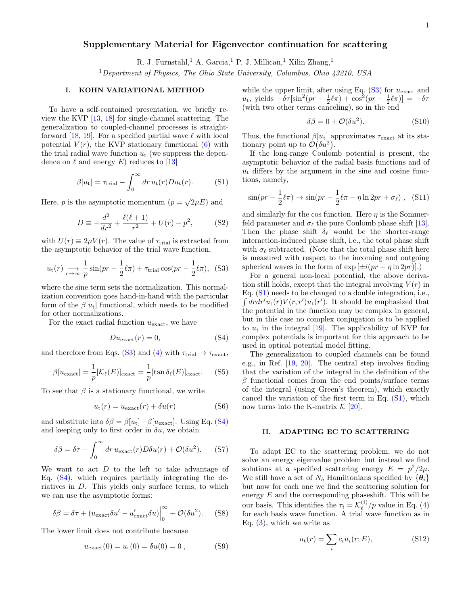# Supplementary Material for Eigenvector continuation for scattering

R. J. Furnstahl,<sup>1</sup> A. Garcia,<sup>1</sup> P. J. Millican,<sup>1</sup> Xilin Zhang,<sup>1</sup>

<sup>1</sup>Department of Physics, The Ohio State University, Columbus, Ohio 43210, USA

## I. KOHN VARIATIONAL METHOD

To have a self-contained presentation, we briefly review the KVP [\[13,](#page-6-9) [18\]](#page-6-10) for single-channel scattering. The generalization to coupled-channel processes is straight-forward [\[18,](#page-6-10) [19\]](#page-6-11). For a specified partial wave  $\ell$  with local potential  $V(r)$ , the KVP stationary functional  $(6)$  with the trial radial wave function  $u_t$  (we suppress the dependence on  $\ell$  and energy E) reduces to [\[13\]](#page-6-9)

$$
\beta[u_{t}] = \tau_{\text{trial}} - \int_{0}^{\infty} dr \, u_{t}(r) D u_{t}(r). \tag{S1}
$$

Here, p is the asymptotic momentum  $(p = \sqrt{2\mu E})$  and

$$
D \equiv -\frac{d^2}{dr^2} + \frac{\ell(\ell+1)}{r^2} + U(r) - p^2,
$$
 (S2)

with  $U(r) \equiv 2\mu V(r)$ . The value of  $\tau_{\text{trial}}$  is extracted from the asymptotic behavior of the trial wave function,

$$
u_{\rm t}(r) \underset{r \to \infty}{\longrightarrow} \frac{1}{p} \sin(pr - \frac{1}{2}\ell\pi) + \tau_{\rm trial} \cos(pr - \frac{1}{2}\ell\pi), \tag{S3}
$$

where the sine term sets the normalization. This normalization convention goes hand-in-hand with the particular form of the  $\beta[u_t]$  functional, which needs to be modified for other normalizations.

For the exact radial function  $u_{\text{exact}}$ , we have

$$
Du_{\text{exact}}(r) = 0,\t\t(S4)
$$

and therefore from Eqs. [\(S3\)](#page-7-0) and [\(4\)](#page-1-0) with  $\tau_{\text{trial}} \rightarrow \tau_{\text{exact}}$ ,

$$
\beta[u_{\text{exact}}] = \frac{1}{p} [\mathcal{K}_{\ell}(E)]_{\text{exact}} = \frac{1}{p} [\tan \delta_{\ell}(E)]_{\text{exact}}.
$$
 (S5)

To see that  $\beta$  is a stationary functional, we write

$$
u_{t}(r) = u_{\text{exact}}(r) + \delta u(r) \tag{S6}
$$

and substitute into  $\delta\beta = \beta[u_t]-\beta[u_{\text{exact}}]$ . Using Eq. [\(S4\)](#page-7-1) and keeping only to first order in  $\delta u$ , we obtain

$$
\delta\beta = \delta\tau - \int_0^\infty dr \, u_{\text{exact}}(r) D\delta u(r) + \mathcal{O}(\delta u^2). \tag{S7}
$$

We want to act  $D$  to the left to take advantage of Eq.  $(S4)$ , which requires partially integrating the deriatives in  $D$ . This yields only surface terms, to which we can use the asymptotic forms:

$$
\delta\beta = \delta\tau + (u_{\text{exact}}\delta u' - u'_{\text{exact}}\delta u)\Big|_0^\infty + \mathcal{O}(\delta u^2). \tag{S8}
$$

The lower limit does not contribute because

$$
u_{\text{exact}}(0) = u_{t}(0) = \delta u(0) = 0 , \qquad (S9)
$$

while the upper limit, after using Eq.  $(S3)$  for  $u_{\text{exact}}$  and  $u_t$ , yields  $-\delta\tau[\sin^2(pr - \frac{1}{2}\ell\pi) + \cos^2(pr - \frac{1}{2}\ell\pi)] = -\delta\tau$ (with two other terms canceling), so in the end

$$
\delta \beta = 0 + \mathcal{O}(\delta u^2). \tag{S10}
$$

Thus, the functional  $\beta[u_t]$  approximates  $\tau_{\text{exact}}$  at its stationary point up to  $\mathcal{O}(\delta u^2)$ .

<span id="page-7-2"></span>If the long-range Coulomb potential is present, the asymptotic behavior of the radial basis functions and of  $u_t$  differs by the argument in the sine and cosine functions, namely,

$$
\sin(pr - \frac{1}{2}\ell\pi) \to \sin(pr - \frac{1}{2}\ell\pi - \eta \ln 2pr + \sigma_\ell), \quad \text{(S11)}
$$

and similarly for the cos function. Here  $\eta$  is the Sommerfeld parameter and  $\sigma_{\ell}$  the pure Coulomb phase shift [\[13\]](#page-6-9). Then the phase shift  $\delta_{\ell}$  would be the shorter-range interaction-induced phase shift, i.e., the total phase shift with  $\sigma_{\ell}$  subtracted. (Note that the total phase shift here is measured with respect to the incoming and outgoing spherical waves in the form of  $\exp\left[\pm i(pr - \eta \ln 2pr)\right]$ .

<span id="page-7-0"></span>For a general non-local potential, the above derivation still holds, except that the integral involving  $V(r)$  in Eq. [\(S1\)](#page-7-2) needs to be changed to a double integration, i.e.,  $\int dr dr' u_t(r) V(r, r') u_t(r')$ . It should be emphasized that the potential in the function may be complex in general, but in this case no complex conjugation is to be applied to  $u_t$  in the integral [\[19\]](#page-6-11). The applicability of KVP for complex potentials is important for this approach to be used in optical potential model fitting.

<span id="page-7-1"></span>The generalization to coupled channels can be found e.g., in Ref. [\[19,](#page-6-11) [20\]](#page-6-12). The central step involves finding that the variation of the integral in the definition of the  $\beta$  functional comes from the end points/surface terms of the integral (using Green's theorem), which exactly cancel the variation of the first term in Eq. [\(S1\)](#page-7-2), which now turns into the K-matrix  $\mathcal{K}$  [\[20\]](#page-6-12).

### II. ADAPTING EC TO SCATTERING

To adapt EC to the scattering problem, we do not solve an energy eigenvalue problem but instead we find solutions at a specified scattering energy  $E = p^2/2\mu$ . We still have a set of  $N_b$  Hamiltonians specified by  ${\lbrace \theta_i \rbrace}$ but now for each one we find the scattering solution for energy  $E$  and the corresponding phaseshift. This will be our basis. This identifies the  $\tau_i = \mathcal{K}_{\ell}^{(i)}$  $\binom{v}{\ell}/p$  value in Eq. [\(4\)](#page-1-0) for each basis wave function. A trial wave function as in Eq.  $(3)$ , which we write as

<span id="page-7-3"></span>
$$
u_{t}(r) = \sum_{i} c_{i} u_{i}(r; E), \qquad (S12)
$$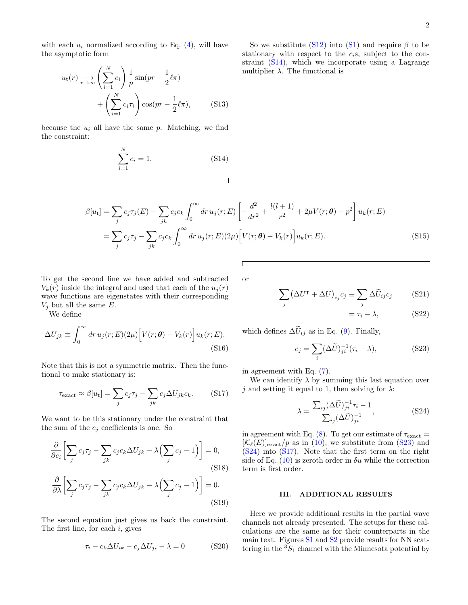with each  $u_i$  normalized according to Eq.  $(4)$ , will have the asymptotic form

$$
u_t(r) \underset{r \to \infty}{\longrightarrow} \left(\sum_{i=1}^N c_i\right) \frac{1}{p} \sin(pr - \frac{1}{2}\ell\pi) + \left(\sum_{i=1}^N c_i \tau_i\right) \cos(pr - \frac{1}{2}\ell\pi), \tag{S13}
$$

because the  $u_i$  all have the same p. Matching, we find the constraint:

<span id="page-8-0"></span>
$$
\sum_{i=1}^{N} c_i = 1.
$$
 (S14)

So we substitute [\(S12\)](#page-7-3) into [\(S1\)](#page-7-2) and require  $\beta$  to be stationary with respect to the  $c_i$ s, subject to the constraint [\(S14\)](#page-8-0), which we incorporate using a Lagrange multiplier  $\lambda$ . The functional is

$$
\beta[u_t] = \sum_j c_j \tau_j(E) - \sum_{jk} c_j c_k \int_0^\infty dr \, u_j(r;E) \left[ -\frac{d^2}{dr^2} + \frac{l(l+1)}{r^2} + 2\mu V(r;\theta) - p^2 \right] u_k(r;E)
$$
  
= 
$$
\sum_j c_j \tau_j - \sum_{jk} c_j c_k \int_0^\infty dr \, u_j(r;E) (2\mu) \left[ V(r;\theta) - V_k(r) \right] u_k(r;E).
$$
 (S15)

To get the second line we have added and subtracted  $V_k(r)$  inside the integral and used that each of the  $u_i(r)$ wave functions are eigenstates with their corresponding  $V_j$  but all the same E.

We define

$$
\Delta U_{jk} \equiv \int_0^\infty dr \, u_j(r;E)(2\mu) \Big[ V(r;\theta) - V_k(r) \Big] u_k(r;E). \tag{S16}
$$

Note that this is not a symmetric matrix. Then the functional to make stationary is:

$$
\tau_{\text{exact}} \approx \beta[u_t] = \sum_j c_j \tau_j - \sum_{jk} c_j \Delta U_{jk} c_k. \tag{S17}
$$

We want to be this stationary under the constraint that the sum of the  $c_j$  coefficients is one. So

$$
\frac{\partial}{\partial c_i} \left[ \sum_j c_j \tau_j - \sum_{jk} c_j c_k \Delta U_{jk} - \lambda \left( \sum_j c_j - 1 \right) \right] = 0,
$$
\n
$$
\frac{\partial}{\partial \lambda} \left[ \sum_j c_j \tau_j - \sum_{jk} c_j c_k \Delta U_{jk} - \lambda \left( \sum_j c_j - 1 \right) \right] = 0.
$$
\n(S19)

The second equation just gives us back the constraint. The first line, for each  $i$ , gives

$$
\tau_i - c_k \Delta U_{ik} - c_j \Delta U_{ji} - \lambda = 0 \tag{S20}
$$

or

$$
\sum_{j} (\Delta U^{\mathsf{T}} + \Delta U)_{ij} c_j \equiv \sum_{j} \Delta \widetilde{U}_{ij} c_j \quad (S21)
$$

<span id="page-8-2"></span><span id="page-8-1"></span>
$$
=\tau_i - \lambda,\tag{S22}
$$

which defines  $\Delta \tilde{U}_{ij}$  as in Eq. [\(9\)](#page-1-3). Finally,

$$
c_j = \sum_i (\Delta \tilde{U})_{ji}^{-1} (\tau_i - \lambda), \tag{S23}
$$

in agreement with Eq. [\(7\)](#page-1-4).

<span id="page-8-3"></span>We can identify  $\lambda$  by summing this last equation over j and setting it equal to 1, then solving for  $\lambda$ :

$$
\lambda = \frac{\sum_{ij} (\Delta \tilde{U})_{ji}^{-1} \tau_i - 1}{\sum_{ij} (\Delta \tilde{U})_{ji}^{-1}},
$$
\n(S24)

in agreement with Eq. [\(8\)](#page-1-6). To get our estimate of  $\tau_{\text{exact}} =$  $[\mathcal{K}_\ell(E)]_{\text{exact}}/p$  as in [\(10\)](#page-1-5), we substitute from [\(S23\)](#page-8-1) and  $(S24)$  into  $(S17)$ . Note that the first term on the right side of Eq.  $(10)$  is zeroth order in  $\delta u$  while the correction term is first order.

## III. ADDITIONAL RESULTS

Here we provide additional results in the partial wave channels not already presented. The setups for these calculations are the same as for their counterparts in the main text. Figures [S1](#page-2-1) and [S2](#page-2-2) provide results for NN scattering in the  ${}^{3}S_{1}$  channel with the Minnesota potential by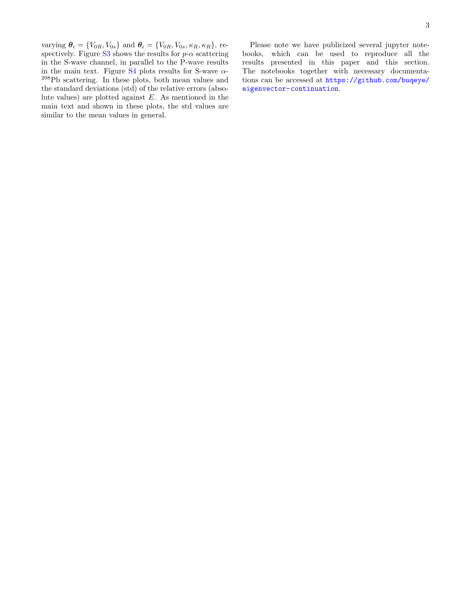varying  $\theta_i = \{V_{0R}, V_{0s}\}\$  and  $\theta_i = \{V_{0R}, V_{0s}, \kappa_R, \kappa_R\}\$ , re-spectively. Figure [S3](#page-4-0) shows the results for  $p-\alpha$  scattering in the S-wave channel, in parallel to the P-wave results in the main text. Figure [S4](#page-4-1) plots results for S-wave  $\alpha$ -<sup>208</sup>Pb scattering. In these plots, both mean values and the standard deviations (std) of the relative errors (absolute values) are plotted against  $E$ . As mentioned in the main text and shown in these plots, the std values are similar to the mean values in general.

Please note we have publicized several jupyter notebooks, which can be used to reproduce all the results presented in this paper and this section. The notebooks together with necessary documentations can be accessed at [https://github.com/buqeye/](https://github.com/buqeye/eigenvector-continuation) [eigenvector-continuation](https://github.com/buqeye/eigenvector-continuation).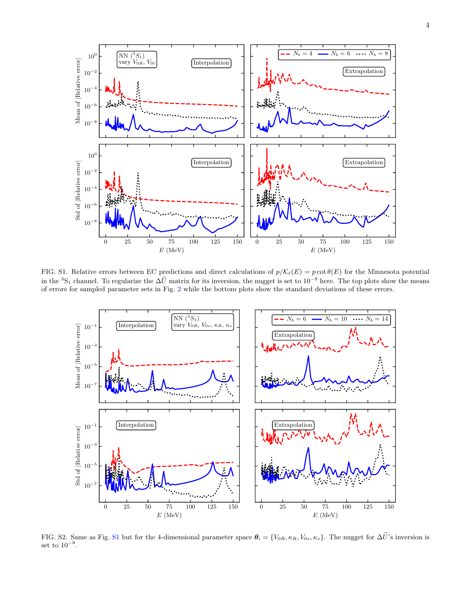



FIG. S1. Relative errors between EC predictions and direct calculations of  $p/\mathcal{K}_\ell(E) = p \cot \theta(E)$  for the Minnesota potential in the <sup>3</sup>S<sub>1</sub> channel. To regularize the  $\Delta \tilde{U}$  matrix for its inversion, the nugget is set to  $10^{-9}$  here. The top plots show the means of errors for sampled parameter sets in Fig. [2](#page-2-2) while the bottom plots show the standard deviations of these errors.



FIG. S2. Same as Fig. [S1](#page-2-1) but for the 4-dimensional parameter space  $\theta_i = \{V_{0R}, \kappa_R, V_{0s}, \kappa_s\}$ . The nugget for  $\Delta \tilde{U}$ 's inversion is set to  $10^{-8}$ .